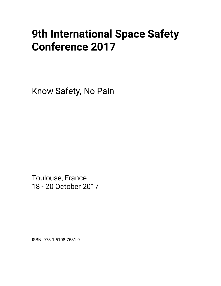# **9th International Space Safety Conference 2017**

Know Safety, No Pain

Toulouse, France 18 - 20 October 2017

ISBN: 978-1-5108-7531-9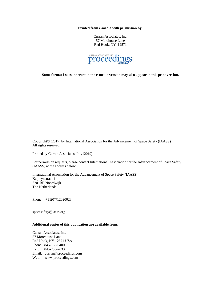**Printed from e-media with permission by:** 

Curran Associates, Inc. 57 Morehouse Lane Red Hook, NY 12571



**Some format issues inherent in the e-media version may also appear in this print version.** 

Copyright© (2017) by International Association for the Advancement of Space Safety (IAASS) All rights reserved.

Printed by Curran Associates, Inc. (2019)

For permission requests, please contact International Association for the Advancement of Space Safety (IAASS) at the address below.

International Association for the Advancement of Space Safety (IAASS) Kapteynstraat 1 2201BB Noordwijk The Netherlands

Phone: +31(0)712020023

spacesafety@iaass.org

## **Additional copies of this publication are available from:**

Curran Associates, Inc. 57 Morehouse Lane Red Hook, NY 12571 USA Phone: 845-758-0400 Fax: 845-758-2633 Email: curran@proceedings.com Web: www.proceedings.com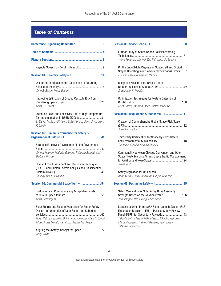# *Table of Contents*

| Oblate-Earth Effects on the Calculation of Ec During<br>John B. Bacon, Mark Matney                                                                                                                                          |  |  |
|-----------------------------------------------------------------------------------------------------------------------------------------------------------------------------------------------------------------------------|--|--|
| Improving Estimation of Ground Casualty Risk from<br>Chris L. Ostrom                                                                                                                                                        |  |  |
| Oxidation Laws and Emissivity Data at High Temperature<br>for Implementation in DEBRISK Code  31<br>L. Barka, M. Balat-Pichelin, E. Bêche, J-L. Sans, J. Annaloro,<br>P. Omalv                                              |  |  |
| <b>Session 02: Human Performance for Safety &amp;</b>                                                                                                                                                                       |  |  |
| Strategic Employee Development in the Government<br>Johnny Nguyen, Nathalie Guevara, Rebecca Barnett, and<br>Barbara Thorpe                                                                                                 |  |  |
| Human Error Assessment and Reduction Technique<br>(HEART) and Human Factors Analysis and Classification<br>Tiffaney Miller Alexander                                                                                        |  |  |
| Session 03: Commercial Spaceflight - I 54                                                                                                                                                                                   |  |  |
| Evaluating and Communicating Acceptable Levels<br>Chris Beauregard                                                                                                                                                          |  |  |
| Solar Energy and Electric Propulsion for Better Safety<br>Design and Operation of Near Space and Suborbital<br>Norul Ridzuan Zakaria, Muhammad Amin Zakaria, Md Sayuti<br>Ishak, Anass Hanafi, Ivan Cuzzi, Azahar Mat Hasan |  |  |
| Andy Quinn                                                                                                                                                                                                                  |  |  |

| Further Study of Space Debris Collision Warning                                                                                                                                                                                                                                     |
|-------------------------------------------------------------------------------------------------------------------------------------------------------------------------------------------------------------------------------------------------------------------------------------|
| Wang Rong-lan, Liu Wei, Yan Rui-dong, Liu Si-ging                                                                                                                                                                                                                                   |
| On the End-Of-Life Disposal of Spacecraft and Orbital<br>Stages Operating in Inclined Geosynchronous Orbits87<br>Luciano Anselmo, Carmen Pardini                                                                                                                                    |
| Mitigation Measures for Orbital Debris:<br>S. Heinrich, K. Mathis                                                                                                                                                                                                                   |
| Optimization Techniques for Feature Detection of<br>Helia Sharif, Christian Pfaab, Matthew Hoelzel                                                                                                                                                                                  |
| Session 06: Regulations & Standards - I 111                                                                                                                                                                                                                                         |
| Creation of Comprehensive Global Space Risk Scale<br>Joseph N. Pelton                                                                                                                                                                                                               |
| Third-Party Certification for Space Systems Safety<br>and Environmental Sustainability  118<br>Tommaso Sgobba, Isabelle Rongier                                                                                                                                                     |
| Commonality between Chicago Convention and Outer<br>Space Treaty: Merging Air and Space Traffic Management<br>Sanat Kaul                                                                                                                                                            |
| Andrew Kuh, Pete Lindsay, Amy Taylor Saunders                                                                                                                                                                                                                                       |
|                                                                                                                                                                                                                                                                                     |
| Safety Verification of Solar Array Drive Assembly<br>Strength Based on the Mission Profile 136<br>Zhu Xinggao, Ren Liming, Chen Fengxi                                                                                                                                              |
| Lessons Learned from NASA Space Launch System (SLS)<br>Exploration Mission 1 (EM-1) Payload Safety Review<br>Panel (PSRP) for Secondary Payloads 143<br>Takashi Goto, Masami Miki, Masako Kikuchi, Koji Oga,<br>Manami Nogami, Toshinori Ikenaga, Ryu Funase,<br>Tatsuaki Hashimoto |

International Association for the Advancement of Space Safety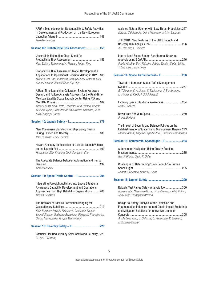| APQP+ Methodology for Dependability & Safety Activities |  |
|---------------------------------------------------------|--|
| in Development and Production of the New European       |  |
|                                                         |  |
| Isabelle Guerinel                                       |  |

#### Session 09: Probabilistic Risk Assessment..................155

Uncertainty Estimation Cheat Sheet for Probabilistic Risk Assessment....................................156 *Paul Britton, Mohammad Al Hassan, Robert Ring*

Probabilistic Risk Assessment Model Development & Applications to Operational Decision Making in HTV...163 *Hiraku Kudo, Toru Yoshihara, Tatsuya Shirai, Masami Miki, Satomi Takada, Takashi Goto, Koji Oga*

A Real-Time Launching Calibration System Hardware Design, and Failure Analysis Approach for the Real-Time Mexican Satellite Space Launch Center Using FTA and MARKOV Chains.........................................................169 *Omar Ariosto Niño Prieto, Francisco Ruiz Ciriaco, Vicente Guevara Ayala, Cuahutémoc Covarrubias Carranza, José Luis Sampayo García*

## Session 10: Launch Safety – I.......................................179

| New Consensus Standards for Ship Safety Design |  |
|------------------------------------------------|--|
|                                                |  |
| Paul D. Wilde, Erik F. Larson                  |  |

Hazard Areas by an Explosion of a Liquid Launch Vehicle on the Launch Pad .....................................................193 *Hyungseok Sim, Kyusung Choi, Sangyeon Cho*

| The Adequate Balance between Automation and Human |  |
|---------------------------------------------------|--|
|                                                   |  |
| Gérald Grucker                                    |  |

#### Session 11: Space Traffic Control – I............................205

Integrating Foresight Activities into Space Situational Awareness Capability Development and Operations: Approaches from High Reliability Organisations .........206 *Regina Peldszus*

The Network of Passive Correlation Ranging for Geostationary Satellites .............................................213 *Felix Bushuev, Mykola Kaliuzhnyi, Oleksandr Shulga, Leonid Shakun, Vladislavs Bezrukovs, Oleksandr Reznichenko, Sergiy Moskalenko, Yevgen Malynovskyi*

Session 13: Re-entry Safety – II....................................220

Casualty Risk Reduction by Semi-Controlled Re-entry..221 *T. Lips, P. Kärräng*

| Assisted Natural Reentry with Low Thrust Propulsion. 227<br>Elisabet Cid Borobia, Claire Frémeaux, Kristen Lagadec                                                           |  |
|------------------------------------------------------------------------------------------------------------------------------------------------------------------------------|--|
| JELECTRA: New Features of the CNES Launch and<br>J.F. Goester, A. Bellucci                                                                                                   |  |
| International Space Station Aerothermal Break-up<br>Patrik Kärräng, Bent Fritsche, Fabian Zander, Stefan Löhle,<br>Tobias Lips, Holger Krag                                  |  |
| Session 14: Space Traffic Control - II 256                                                                                                                                   |  |
| Towards a European Space Traffic Management<br>R. Tüllmann, C. Arbinger, S. Baskcomb, J. Berdermann,<br>H. Fiedler, E. Klock, T. Schildknecht                                |  |
| Evolving Space Situational Awareness  264<br>Ruth E. Stilwell                                                                                                                |  |
| Frank Morlang                                                                                                                                                                |  |
| The Impact of Security and Defence Policies on the<br>Establishment of a Space Traffic Management Regime 273<br>Ntorina Antoni, Angeliki Papadimitriou, Christina Giannopapa |  |
| Session 15: Commercial Spaceflight - II 284                                                                                                                                  |  |
| Autonomous Navigation Using Gravity Gradient<br>Rachit Bhatia, David K. Geller                                                                                               |  |
| Challenges of Determining "Safe Enough" in Human<br>Robert P. Ocampo, David M. Klaus                                                                                         |  |
|                                                                                                                                                                              |  |
| Rafael's Test Range Safety Analysis Tool 300<br>Ronen Ingbir, Nave Ben-Yakov, Dima Kanevsky, Meir Cohen,<br>Shay Acco, Yeshayahu Atzmon                                      |  |

### Design-to-Safety: Analysis of the Explosion and Fragmentation Influence on Inert Debris Impact Footprints and Mitigation Solutions for Innovative Launcher

Concepts ...................................................................305 *A. Martinez Torio, D. Delorme, L. Rozenberg, V. Guenard, F. Bignalet-Cazalet*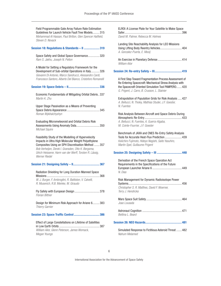| Field Programmable Gate Array Failure Rate Estimation<br>Guidelines for Launch Vehicle Fault Tree Models315<br>Mohammad Al Hassan, Paul Britton, Glen Spencer Hatfield,<br>Steven D. Novack                                                                                                         |
|-----------------------------------------------------------------------------------------------------------------------------------------------------------------------------------------------------------------------------------------------------------------------------------------------------|
| Session 18: Regulations & Standards - II  319                                                                                                                                                                                                                                                       |
| Space Safety and Global Space Governance 320<br>Ram S. Jakhu, Joseph N. Pelton                                                                                                                                                                                                                      |
| A Model for Setting a Regulatory Framework for the<br>Development of Sub-orbital Operations in Italy 326<br>Giovanni Di Antonio, Marco Sandrucci, Alessandro Cardi,<br>Francesco Santoro, Alberto Del Bianco, Cristoforo Romanelli                                                                  |
|                                                                                                                                                                                                                                                                                                     |
| Economic Fundamentals of Mitigating Orbital Debris337<br>Martin K. Zhu                                                                                                                                                                                                                              |
| Upper Stage Passivation as a Means of Preventing<br>Roman Mykhalchyshyn                                                                                                                                                                                                                             |
| Evaluating Micrometeoroid and Orbital Debris Risk<br>Assessments Using Anomaly Data 350<br>Michael Squire                                                                                                                                                                                           |
| Feasibility Study of the Modelling of Hypervelocity<br>Impacts in Ultra High Molecular Weight Polyethylene<br>Composites Using an SPH Discretisation Method  357<br>Bob Verheijen, Derek I. Gransden, Otto K. Bergsma,<br>Ulrich Heisserer, Harm van der Werff, Torsten R. Lässig,<br>Werner Riedel |
|                                                                                                                                                                                                                                                                                                     |
| Radiation Shielding for Long Duration Manned Space<br>W. J. Burger, F. Ambroglini, R. Battiston, V. Calvelli,<br>R. Musenich, R.B. Meinke, M. Giraudo                                                                                                                                               |
| Florian Bittner                                                                                                                                                                                                                                                                                     |
| Design for Minimum Risk Approach for Ariane 6 383<br>Thierry Garnier                                                                                                                                                                                                                                |
| Session 23: Space Traffic Control  386                                                                                                                                                                                                                                                              |
| Effect of Large Constellations on Lifetime of Satellites<br>William Ailor, Glenn Peterson, James Womack,<br>Megan Youngs                                                                                                                                                                            |

| ELROI: A License Plate for Your Satellite to Make Space<br>David M. Palmer, Rebecca M. Holmes                                                                                                                              |
|----------------------------------------------------------------------------------------------------------------------------------------------------------------------------------------------------------------------------|
| Landing Site Reachability Analysis for LEO Missions<br>Using Lifting Body Reentry Vehicles 404<br>A. Gonzalez-Puerta, E. Mooij                                                                                             |
| William Ailor                                                                                                                                                                                                              |
|                                                                                                                                                                                                                            |
| A First Step Toward Fragmentation Process Assessment of<br>Re-Entering Spacecraft: Mechanical Stress Analysis with<br>the Spacecraft Oriented Simulation Tool PAMPERO 420<br>G. Prigent, J. Carro, B. Crusson, L. Stainier |
| Extrapolation of Population Grids for Risk Analysis  427<br>A. Bellucci, N. Tholey, Mathias Studer, J.F. Goester,<br>N. Fuentes                                                                                            |
| Risk Analysis Between Aircraft and Space Debris During<br>A. Bellucci, N. Fuentes, A. Guerra-Algaba,<br>M. Cointe-Fourrier, J.F. Goester                                                                                   |
| Benchmark of JAXA and CNES Re-Entry Safety Analysis<br>Tools for Accurate Heat-Flux Prediction 439<br>Keiichiro Fujimoto, Hideyo Negishi, Saito Yasuhiro,<br>Martin Spel, Guillaume Prigent                                |
|                                                                                                                                                                                                                            |
| Derivation of the French Space Operation Act<br>Requirements in the Specifications of the Future<br>N. Dias                                                                                                                |
| Risk Management for Dynamic Radioisotope Power<br>Systems<br>Christopher S. R. Matthes, David F. Woerner,<br>Terry J. Hendricks                                                                                            |
| Joao Lousada                                                                                                                                                                                                               |
| Bettina L. Beard                                                                                                                                                                                                           |
|                                                                                                                                                                                                                            |
| Simulated Response to Fictitious Asteroid Threat  482<br>Nahum Melamed                                                                                                                                                     |

International Association for the Advancement of Space Safety